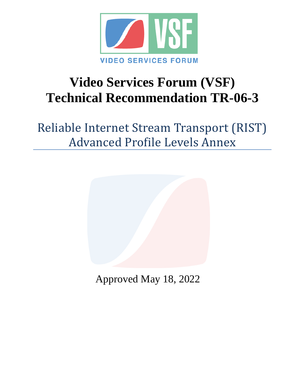

# **Video Services Forum (VSF) Technical Recommendation TR-06-3**

Reliable Internet Stream Transport (RIST) Advanced Profile Levels Annex



Approved May 18, 2022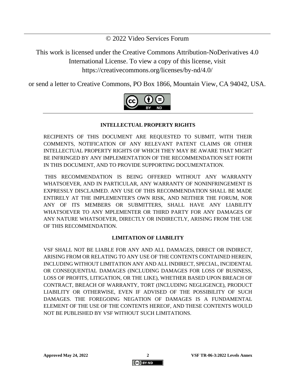© 2022 Video Services Forum

This work is licensed under the Creative Commons Attribution-NoDerivatives 4.0 International License. To view a copy of this license, visit https://creativecommons.org/licenses/by-nd/4.0/

or send a letter to Creative Commons, PO Box 1866, Mountain View, CA 94042, USA.



#### **INTELLECTUAL PROPERTY RIGHTS**

RECIPIENTS OF THIS DOCUMENT ARE REQUESTED TO SUBMIT, WITH THEIR COMMENTS, NOTIFICATION OF ANY RELEVANT PATENT CLAIMS OR OTHER INTELLECTUAL PROPERTY RIGHTS OF WHICH THEY MAY BE AWARE THAT MIGHT BE INFRINGED BY ANY IMPLEMENTATION OF THE RECOMMENDATION SET FORTH IN THIS DOCUMENT, AND TO PROVIDE SUPPORTING DOCUMENTATION.

THIS RECOMMENDATION IS BEING OFFERED WITHOUT ANY WARRANTY WHATSOEVER, AND IN PARTICULAR, ANY WARRANTY OF NONINFRINGEMENT IS EXPRESSLY DISCLAIMED. ANY USE OF THIS RECOMMENDATION SHALL BE MADE ENTIRELY AT THE IMPLEMENTER'S OWN RISK, AND NEITHER THE FORUM, NOR ANY OF ITS MEMBERS OR SUBMITTERS, SHALL HAVE ANY LIABILITY WHATSOEVER TO ANY MPLEMENTER OR THIRD PARTY FOR ANY DAMAGES OF ANY NATURE WHATSOEVER, DIRECTLY OR INDIRECTLY, ARISING FROM THE USE OF THIS RECOMMENDATION.

#### **LIMITATION OF LIABILITY**

VSF SHALL NOT BE LIABLE FOR ANY AND ALL DAMAGES, DIRECT OR INDIRECT, ARISING FROM OR RELATING TO ANY USE OF THE CONTENTS CONTAINED HEREIN, INCLUDING WITHOUT LIMITATION ANY AND ALL INDIRECT, SPECIAL, INCIDENTAL OR CONSEQUENTIAL DAMAGES (INCLUDING DAMAGES FOR LOSS OF BUSINESS, LOSS OF PROFITS, LITIGATION, OR THE LIKE), WHETHER BASED UPON BREACH OF CONTRACT, BREACH OF WARRANTY, TORT (INCLUDING NEGLIGENCE), PRODUCT LIABILITY OR OTHERWISE, EVEN IF ADVISED OF THE POSSIBILITY OF SUCH DAMAGES. THE FOREGOING NEGATION OF DAMAGES IS A FUNDAMENTAL ELEMENT OF THE USE OF THE CONTENTS HEREOF, AND THESE CONTENTS WOULD NOT BE PUBLISHED BY VSF WITHOUT SUCH LIMITATIONS.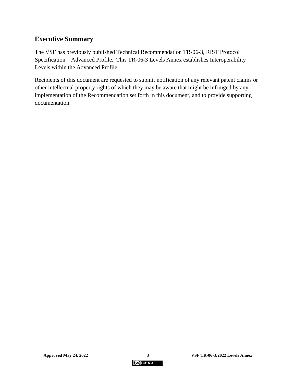## **Executive Summary**

The VSF has previously published Technical Recommendation TR-06-3, RIST Protocol Specification – Advanced Profile. This TR-06-3 Levels Annex establishes Interoperability Levels within the Advanced Profile.

Recipients of this document are requested to submit notification of any relevant patent claims or other intellectual property rights of which they may be aware that might be infringed by any implementation of the Recommendation set forth in this document, and to provide supporting documentation.

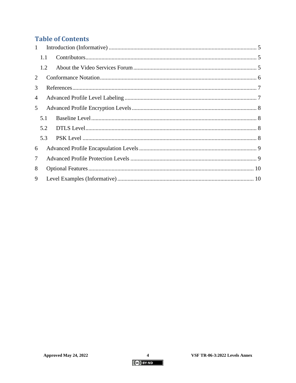# **Table of Contents**

| $\mathbf{1}$ |     |  |  |
|--------------|-----|--|--|
|              | 1.1 |  |  |
|              | 1.2 |  |  |
| 2            |     |  |  |
| 3            |     |  |  |
| 4            |     |  |  |
| 5            |     |  |  |
|              | 5.1 |  |  |
|              | 5.2 |  |  |
|              | 5.3 |  |  |
| 6            |     |  |  |
| $\tau$       |     |  |  |
| 8            |     |  |  |
| 9            |     |  |  |

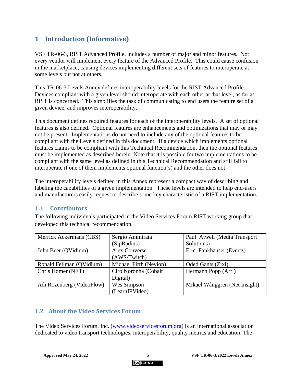# <span id="page-4-0"></span>**1 Introduction (Informative)**

VSF TR-06-3, RIST Advanced Profile, includes a number of major and minor features. Not every vendor will implement every feature of the Advanced Profile. This could cause confusion in the marketplace, causing devices implementing different sets of features to interoperate at some levels but not at others.

This TR-06-3 Levels Annex defines interoperability levels for the RIST Advanced Profile. Devices compliant with a given level should interoperate with each other at that level, as far as RIST is concerned. This simplifies the task of communicating to end users the feature set of a given device, and improves interoperability.

This document defines required features for each of the interoperability levels. A set of optional features is also defined. Optional features are enhancements and optimizations that may or may not be present. Implementations do not need to include any of the optional features to be compliant with the Levels defined in this document. If a device which implements optional features claims to be compliant with this Technical Recommendation, then the optional features must be implemented as described herein. Note that it is possible for two implementations to be compliant with the same level as defined in this Technical Recommendation and still fail to interoperate if one of them implements optional function(s) and the other does not.

The interoperability levels defined in this Annex represent a compact way of describing and labeling the capabilities of a given implementation. These levels are intended to help end-users and manufacturers easily request or describe some key characteristic of a RIST implementation.

## <span id="page-4-1"></span>**1.1 Contributors**

The following individuals participated in the Video Services Forum RIST working group that developed this technical recommendation.

| Merrick Ackermans (CBS)   | Sergio Ammirata        | Paul Atwell (Media Transport  |
|---------------------------|------------------------|-------------------------------|
|                           | (SipRadius)            | Solutions)                    |
| John Beer (QVidium)       | <b>Alex Converse</b>   | Eric Fankhauser (Evertz)      |
|                           | (AWS/Twitch)           |                               |
| Ronald Fellman (QVidium)  | Michael Firth (Nevion) | Oded Gants (Zixi)             |
| Chris Homer (NET)         | Ciro Noronha (Cobalt   | Hermann Popp (Arri)           |
|                           | Digital)               |                               |
| Adi Rozenberg (VideoFlow) | Wes Simpson            | Mikael Wånggren (Net Insight) |
|                           | (LearnIPVideo)         |                               |

## <span id="page-4-2"></span>**1.2 About the Video Services Forum**

The Video Services Forum, Inc. [\(www.videoservicesforum.org\)](http://www.videoservicesforum.org/) is an international association dedicated to video transport technologies, interoperability, quality metrics and education. The

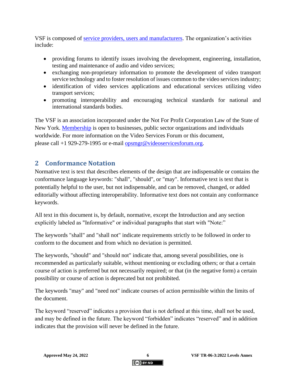VSF is composed of [service providers, users and manufacturers.](http://www.videoservicesforum.org/members/members.htm) The organization's activities include:

- providing forums to identify issues involving the development, engineering, installation, testing and maintenance of audio and video services;
- exchanging non-proprietary information to promote the development of video transport service technology and to foster resolution of issues common to the video services industry;
- identification of video services applications and educational services utilizing video transport services;
- promoting interoperability and encouraging technical standards for national and international standards bodies.

The VSF is an association incorporated under the Not For Profit Corporation Law of the State of New York. [Membership](http://www.videoservicesforum.org/membership/membership.htm) is open to businesses, public sector organizations and individuals worldwide. For more information on the Video Services Forum or this document, please call +1 929-279-1995 or e-mail [opsmgr@videoservicesforum.org.](mailto:opsmgr@videoservicesforum.org)

## <span id="page-5-0"></span>**2 Conformance Notation**

Normative text is text that describes elements of the design that are indispensable or contains the conformance language keywords: "shall", "should", or "may". Informative text is text that is potentially helpful to the user, but not indispensable, and can be removed, changed, or added editorially without affecting interoperability. Informative text does not contain any conformance keywords.

All text in this document is, by default, normative, except the Introduction and any section explicitly labeled as "Informative" or individual paragraphs that start with "Note:"

The keywords "shall" and "shall not" indicate requirements strictly to be followed in order to conform to the document and from which no deviation is permitted.

The keywords, "should" and "should not" indicate that, among several possibilities, one is recommended as particularly suitable, without mentioning or excluding others; or that a certain course of action is preferred but not necessarily required; or that (in the negative form) a certain possibility or course of action is deprecated but not prohibited.

The keywords "may" and "need not" indicate courses of action permissible within the limits of the document.

The keyword "reserved" indicates a provision that is not defined at this time, shall not be used, and may be defined in the future. The keyword "forbidden" indicates "reserved" and in addition indicates that the provision will never be defined in the future.

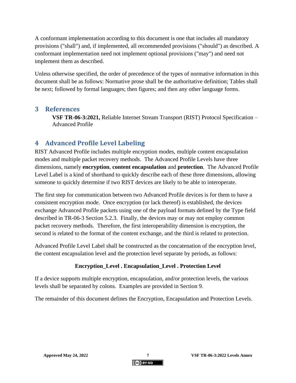A conformant implementation according to this document is one that includes all mandatory provisions ("shall") and, if implemented, all recommended provisions ("should") as described. A conformant implementation need not implement optional provisions ("may") and need not implement them as described.

Unless otherwise specified, the order of precedence of the types of normative information in this document shall be as follows: Normative prose shall be the authoritative definition; Tables shall be next; followed by formal languages; then figures; and then any other language forms.

## <span id="page-6-0"></span>**3 References**

**VSF TR-06-3:2021,** Reliable Internet Stream Transport (RIST) Protocol Specification – Advanced Profile

# <span id="page-6-1"></span>**4 Advanced Profile Level Labeling**

RIST Advanced Profile includes multiple encryption modes, multiple content encapsulation modes and multiple packet recovery methods. The Advanced Profile Levels have three dimensions, namely **encryption**, **content encapsulation** and **protection**. The Advanced Profile Level Label is a kind of shorthand to quickly describe each of these three dimensions, allowing someone to quickly determine if two RIST devices are likely to be able to interoperate.

The first step for communication between two Advanced Profile devices is for them to have a consistent encryption mode. Once encryption (or lack thereof) is established, the devices exchange Advanced Profile packets using one of the payload formats defined by the Type field described in TR-06-3 Section 5.2.3. Finally, the devices may or may not employ common packet recovery methods. Therefore, the first interoperability dimension is encryption, the second is related to the format of the content exchange, and the third is related to protection.

Advanced Profile Level Label shall be constructed as the concatenation of the encryption level, the content encapsulation level and the protection level separate by periods, as follows:

## **Encryption\_Level . Encapsulation\_Level . Protection Level**

If a device supports multiple encryption, encapsulation, and/or protection levels, the various levels shall be separated by colons. Examples are provided in Section [9.](#page-9-1)

The remainder of this document defines the Encryption, Encapsulation and Protection Levels.

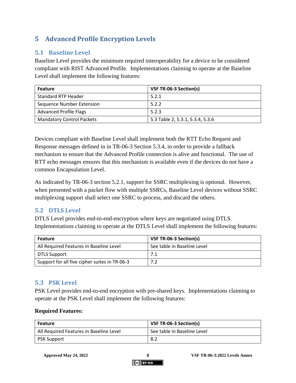# <span id="page-7-0"></span>**5 Advanced Profile Encryption Levels**

## <span id="page-7-1"></span>**5.1 Baseline Level**

Baseline Level provides the minimum required interoperability for a device to be considered compliant with RIST Advanced Profile. Implementations claiming to operate at the Baseline Level shall implement the following features:

| <b>Feature</b>                   | VSF TR-06-3 Section(s)           |
|----------------------------------|----------------------------------|
| <b>Standard RTP Header</b>       | 5.2.1                            |
| Sequence Number Extension        | 5.2.2                            |
| <b>Advanced Profile Flags</b>    | 5.2.3                            |
| <b>Mandatory Control Packets</b> | 5.3 Table 2, 5.3.1, 5.3.4, 5.3.6 |

Devices compliant with Baseline Level shall implement both the RTT Echo Request and Response messages defined in in TR-06-3 Section 5.3.4, in order to provide a fallback mechanism to ensure that the Advanced Profile connection is alive and functional. The use of RTT echo messages ensures that this mechanism is available even if the devices do not have a common Encapsulation Level.

As indicated by TR-06-3 section 5.2.1, support for SSRC multiplexing is optional. However, when presented with a packet flow with multiple SSRCs, Baseline Level devices without SSRC multiplexing support shall select one SSRC to process, and discard the others.

## <span id="page-7-2"></span>**5.2 DTLS Level**

DTLS Level provides end-to-end-encryption where keys are negotiated using DTLS. Implementations claiming to operate at the DTLS Level shall implement the following features:

| <b>Feature</b>                                | VSF TR-06-3 Section(s)      |  |
|-----------------------------------------------|-----------------------------|--|
| All Required Features in Baseline Level       | See table in Baseline Level |  |
| DTLS Support                                  |                             |  |
| Support for all five cipher suites in TR-06-3 | 7.2                         |  |

## <span id="page-7-3"></span>**5.3 PSK Level**

PSK Level provides end-to-end encryption with pre-shared keys. Implementations claiming to operate at the PSK Level shall implement the following features:

#### **Required Features:**

| <b>Feature</b>                          | VSF TR-06-3 Section(s)      |  |
|-----------------------------------------|-----------------------------|--|
| All Required Features in Baseline Level | See table in Baseline Level |  |
| <b>PSK Support</b>                      | 8.2                         |  |

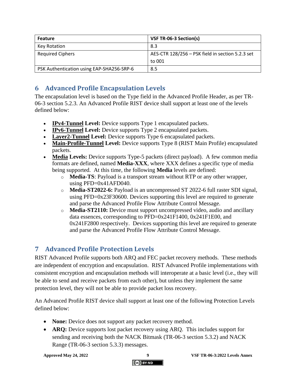| <b>Feature</b>                            | VSF TR-06-3 Section(s)                           |  |
|-------------------------------------------|--------------------------------------------------|--|
| Key Rotation                              | 8.3                                              |  |
| <b>Required Ciphers</b>                   | AES-CTR 128/256 - PSK field in section 5.2.3 set |  |
|                                           | to 001                                           |  |
| PSK Authentication using EAP-SHA256-SRP-6 | 8.5                                              |  |

# <span id="page-8-0"></span>**6 Advanced Profile Encapsulation Levels**

The encapsulation level is based on the Type field in the Advanced Profile Header, as per TR-06-3 section 5.2.3. An Advanced Profile RIST device shall support at least one of the levels defined below:

- **IPv4-Tunnel Level:** Device supports Type 1 encapsulated packets.
- **IPv6-Tunnel Level:** Device supports Type 2 encapsulated packets.
- **Layer2-Tunnel Level:** Device supports Type 6 encapsulated packets.
- **Main-Profile-Tunnel Level:** Device supports Type 8 (RIST Main Profile) encapsulated packets.
- **Media Levels:** Device supports Type-5 packets (direct payload). A few common media formats are defined, named **Media-XXX**, where XXX defines a specific type of media being supported. At this time, the following **Media** levels are defined:
	- o **Media-TS**: Payload is a transport stream without RTP or any other wrapper, using PFD=0x41AFD040.
	- o **Media-ST2022-6:** Payload is an uncompressed ST 2022-6 full raster SDI signal, using PFD=0x23F30600. Devices supporting this level are required to generate and parse the Advanced Profile Flow Attribute Control Message.
	- o **Media-ST2110:** Device must support uncompressed video, audio and ancillary data essences, corresponding to PFD=0x241F1400, 0x241F1E00, and 0x241F2800 respectively. Devices supporting this level are required to generate and parse the Advanced Profile Flow Attribute Control Message.

# <span id="page-8-1"></span>**7 Advanced Profile Protection Levels**

RIST Advanced Profile supports both ARQ and FEC packet recovery methods. These methods are independent of encryption and encapsulation. RIST Advanced Profile implementations with consistent encryption and encapsulation methods will interoperate at a basic level (i.e., they will be able to send and receive packets from each other), but unless they implement the same protection level, they will not be able to provide packet loss recovery.

An Advanced Profile RIST device shall support at least one of the following Protection Levels defined below:

- **None:** Device does not support any packet recovery method.
- **ARQ:** Device supports lost packet recovery using ARQ. This includes support for sending and receiving both the NACK Bitmask (TR-06-3 section 5.3.2) and NACK Range (TR-06-3 section 5.3.3) messages.

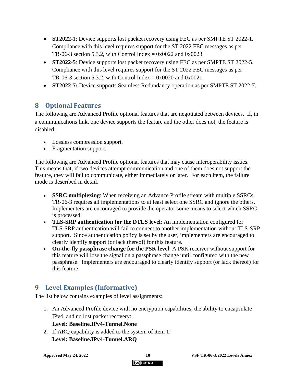- **ST2022-**1: Device supports lost packet recovery using FEC as per SMPTE ST 2022-1. Compliance with this level requires support for the ST 2022 FEC messages as per TR-06-3 section 5.3.2, with Control Index =  $0 \times 0022$  and  $0 \times 0023$ .
- **ST2022-5**: Device supports lost packet recovery using FEC as per SMPTE ST 2022-5. Compliance with this level requires support for the ST 2022 FEC messages as per TR-06-3 section 5.3.2, with Control Index =  $0x0020$  and  $0x0021$ .
- **ST2022-7:** Device supports Seamless Redundancy operation as per SMPTE ST 2022-7.

# <span id="page-9-0"></span>**8 Optional Features**

The following are Advanced Profile optional features that are negotiated between devices. If, in a communications link, one device supports the feature and the other does not, the feature is disabled:

- Lossless compression support.
- Fragmentation support.

The following are Advanced Profile optional features that may cause interoperability issues. This means that, if two devices attempt communication and one of them does not support the feature, they will fail to communicate, either immediately or later. For each item, the failure mode is described in detail.

- **SSRC multiplexing**: When receiving an Advance Profile stream with multiple SSRCs, TR-06-3 requires all implementations to at least select one SSRC and ignore the others. Implementers are encouraged to provide the operator some means to select which SSRC is processed.
- **TLS-SRP authentication for the DTLS level**: An implementation configured for TLS-SRP authentication will fail to connect to another implementation without TLS-SRP support. Since authentication policy is set by the user, implementers are encouraged to clearly identify support (or lack thereof) for this feature.
- **On-the-fly passphrase change for the PSK level**: A PSK receiver without support for this feature will lose the signal on a passphrase change until configured with the new passphrase. Implementers are encouraged to clearly identify support (or lack thereof) for this feature.

# <span id="page-9-1"></span>**9 Level Examples (Informative)**

The list below contains examples of level assignments:

<span id="page-9-2"></span>1. An Advanced Profile device with no encryption capabilities, the ability to encapsulate IPv4, and no lost packet recovery:

## **Level: Baseline.IPv4-Tunnel.None**

<span id="page-9-3"></span>2. If ARQ capability is added to the system of item [1:](#page-9-2) **Level: Baseline.IPv4-Tunnel.ARQ**